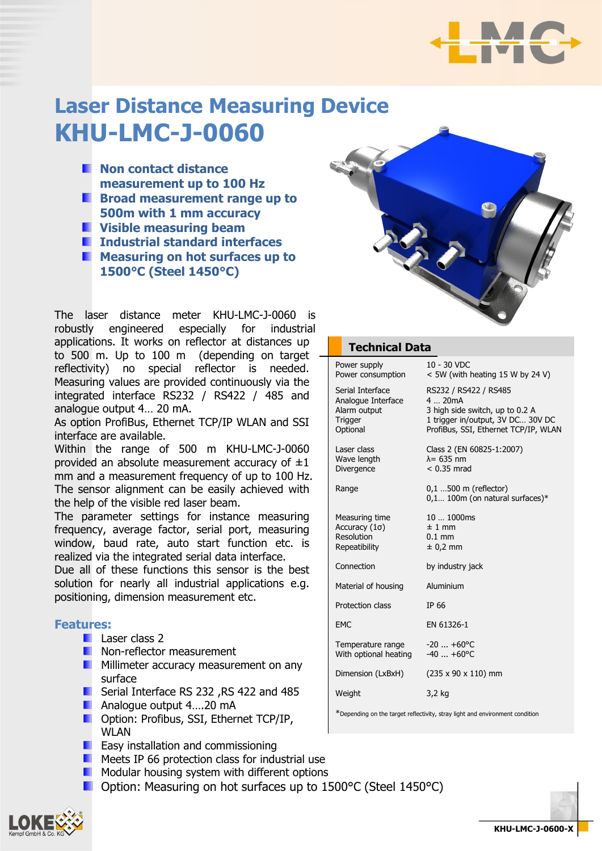

# **Laser Distance Measuring Device KHU-LMC-J-0060**

- **Non contact distance measurement up to 100 Hz**
- **Broad measurement range up to 500m with 1 mm accuracy**
- **Visible measuring beam**
- **Industrial standard interfaces**
- **Measuring on hot surfaces up to 1500°C (Steel 1450°C)**

The laser distance meter KHU-LMC-J-0060 is robustly engineered especially for industrial applications. It works on reflector at distances up to 500 m. Up to 100 m (depending on target reflectivity) no special reflector is needed. Measuring values are provided continuously via the integrated interface RS232 / RS422 / 485 and analogue output 4… 20 mA.

As option ProfiBus, Ethernet TCP/IP WLAN and SSI interface are available.

Within the range of 500 m KHU-LMC-J-0060 provided an absolute measurement accuracy of  $\pm 1$ mm and a measurement frequency of up to 100 Hz. The sensor alignment can be easily achieved with the help of the visible red laser beam.

The parameter settings for instance measuring frequency, average factor, serial port, measuring window, baud rate, auto start function etc. is realized via the integrated serial data interface.

Due all of these functions this sensor is the best solution for nearly all industrial applications e.g. positioning, dimension measurement etc.

#### **Features:**

- **Laser class 2**
- **Non-reflector measurement**
- **Millimeter accuracy measurement on any** surface
- Serial Interface RS 232 ,RS 422 and 485
- **Analogue output 4....20 mA**
- **Deption: Profibus, SSI, Ethernet TCP/IP,** WLAN
- **Easy installation and commissioning**
- Meets IP 66 protection class for industrial use
- **Modular housing system with different options**
- Option: Measuring on hot surfaces up to 1500°C (Steel 1450°C)



#### **Technical Data**

| Power supply<br>Power consumption                                                    | 10 - 30 VDC<br>$<$ 5W (with heating 15 W by 24 V)                                                                                              |  |  |  |
|--------------------------------------------------------------------------------------|------------------------------------------------------------------------------------------------------------------------------------------------|--|--|--|
| Serial Interface<br>Analogue Interface<br>Alarm output<br><b>Trigger</b><br>Optional | RS232 / RS422 / RS485<br>420mA<br>3 high side switch, up to 0.2 A<br>1 trigger in/output, 3V DC 30V DC<br>ProfiBus, SSI, Ethernet TCP/IP, WLAN |  |  |  |
| Laser class<br>Wave length<br>Divergence                                             | Class 2 (EN 60825-1:2007)<br>$\lambda$ = 635 nm<br>$< 0.35$ mrad                                                                               |  |  |  |
| Range                                                                                | $0,1$ 500 m (reflector)<br>$0,1$ 100m (on natural surfaces)*                                                                                   |  |  |  |
| Measuring time<br>Accuracy $(1\sigma)$<br>Resolution<br>Repeatibility                | 10  1000ms<br>$±1$ mm<br>$0.1$ mm<br>$± 0,2$ mm                                                                                                |  |  |  |
| Connection                                                                           | by industry jack                                                                                                                               |  |  |  |
| Material of housing                                                                  | Aluminium                                                                                                                                      |  |  |  |
| Protection class                                                                     | IP 66                                                                                                                                          |  |  |  |
| EMC                                                                                  | EN 61326-1                                                                                                                                     |  |  |  |
| Temperature range<br>With optional heating                                           | $-20$ $+60^{\circ}$ C<br>$-40$ $+60^{\circ}$ C                                                                                                 |  |  |  |
| Dimension (LxBxH)                                                                    | $(235 \times 90 \times 110)$ mm                                                                                                                |  |  |  |
| Weight                                                                               | 3,2 kg                                                                                                                                         |  |  |  |
| *Depending on the target reflectivity, stray light and environment condition         |                                                                                                                                                |  |  |  |

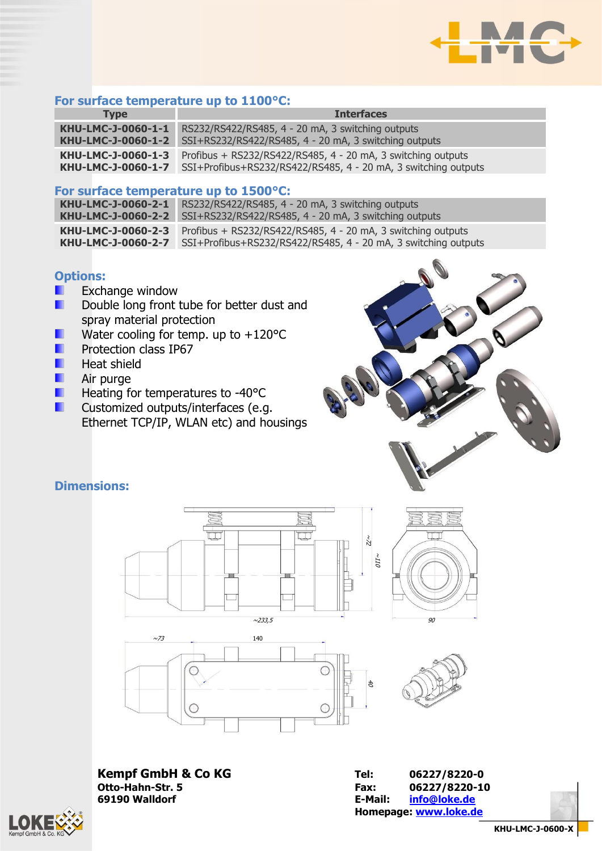

## **For surface temperature up to 1100°C:**

| <b>Type</b>        | <b>Interfaces</b>                                              |
|--------------------|----------------------------------------------------------------|
| KHU-LMC-J-0060-1-1 | RS232/RS422/RS485, 4 - 20 mA, 3 switching outputs              |
| KHU-LMC-J-0060-1-2 | SSI+RS232/RS422/RS485, 4 - 20 mA, 3 switching outputs          |
| KHU-LMC-J-0060-1-3 | Profibus + RS232/RS422/RS485, 4 - 20 mA, 3 switching outputs   |
| KHU-LMC-J-0060-1-7 | SSI+Profibus+RS232/RS422/RS485, 4 - 20 mA, 3 switching outputs |

#### **For surface temperature up to 1500°C:**

| KHU-LMC-J-0060-2-1 | RS232/RS422/RS485, 4 - 20 mA, 3 switching outputs                               |  |  |
|--------------------|---------------------------------------------------------------------------------|--|--|
|                    | <b>KHU-LMC-J-0060-2-2</b> SSI+RS232/RS422/RS485, 4 - 20 mA, 3 switching outputs |  |  |
| KHU-LMC-J-0060-2-3 | Profibus + RS232/RS422/RS485, 4 - 20 mA, 3 switching outputs                    |  |  |
| KHU-LMC-J-0060-2-7 | SSI+Profibus+RS232/RS422/RS485, 4 - 20 mA, 3 switching outputs                  |  |  |

### **Options:**

- Exchange window п
- п Double long front tube for better dust and spray material protection
- Water cooling for temp. up to +120°C п
- п Protection class IP67
- ш Heat shield
- ш Air purge
- Heating for temperatures to -40°C п
- Customized outputs/interfaces (e.g. п Ethernet TCP/IP, WLAN etc) and housings



# **Dimensions:**









**Kempf GmbH & Co KG Tel: 06227/8220-0 69190 Walldorf Contract Contract Contract Contract Contract Contract Contract Contract Contract Contract Contract Contract Contract Contract Contract Contract Contract Contract Contract Contract Contract Contract Contra** 

**Otto-Hahn-Str. 5 Fax: 06227/8220-10 Homepage: [www.loke.de](http://www.loke.de/)**

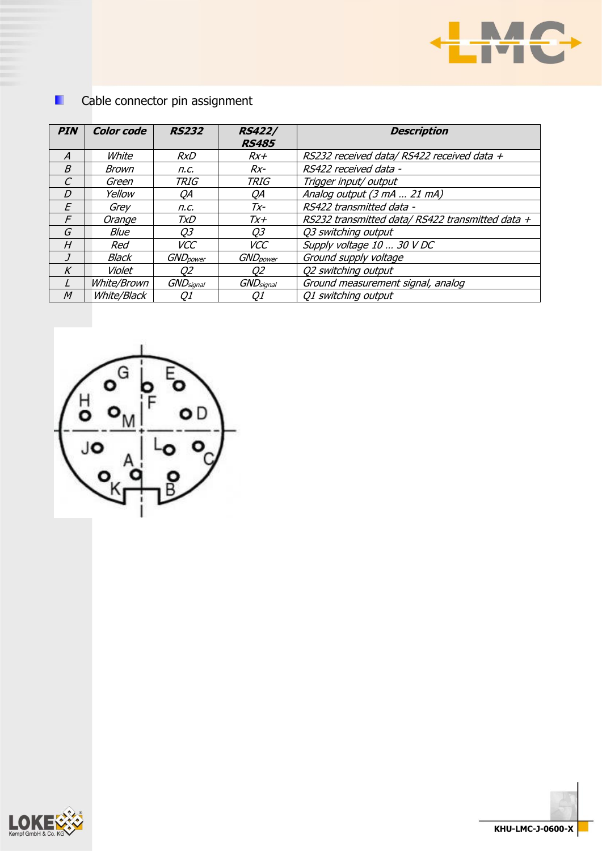

| Cable connector pin assignment |                    |                   |                               |                                                 |  |
|--------------------------------|--------------------|-------------------|-------------------------------|-------------------------------------------------|--|
| <b>PIN</b>                     | <b>Color code</b>  | <b>RS232</b>      | <b>RS422/</b><br><b>RS485</b> | <b>Description</b>                              |  |
| $\boldsymbol{A}$               | White              | <b>RxD</b>        | $Rx+$                         | RS232 received data/RS422 received data +       |  |
| B                              | Brown              | n.c.              | $Rx-$                         | RS422 received data -                           |  |
| C                              | Green              | TRIG              | <b>TRIG</b>                   | Trigger input/ output                           |  |
| D                              | Yellow             | QΑ                | QΑ                            | Analog output (3 mA  21 mA)                     |  |
| E                              | Grey               | n.c.              | $Tx-$                         | RS422 transmitted data -                        |  |
| F                              | Orange             | TxD               | Tx+                           | RS232 transmitted data/RS422 transmitted data + |  |
| G                              | Blue               | Q3                | Q3                            | Q3 switching output                             |  |
| H                              | Red                | <b>VCC</b>        | <b>VCC</b>                    | Supply voltage 10  30 V DC                      |  |
|                                | Black              | <b>GND</b> power  | <b>GND</b> power              | Ground supply voltage                           |  |
| $\boldsymbol{K}$               | Violet             | 02                | Q2                            | Q2 switching output                             |  |
|                                | <i>White/Brown</i> | <b>GND</b> signal | <b>GND</b> signal             | Ground measurement signal, analog               |  |
| M                              | White/Black        | Q1                | Q1                            | Q1 switching output                             |  |







H.